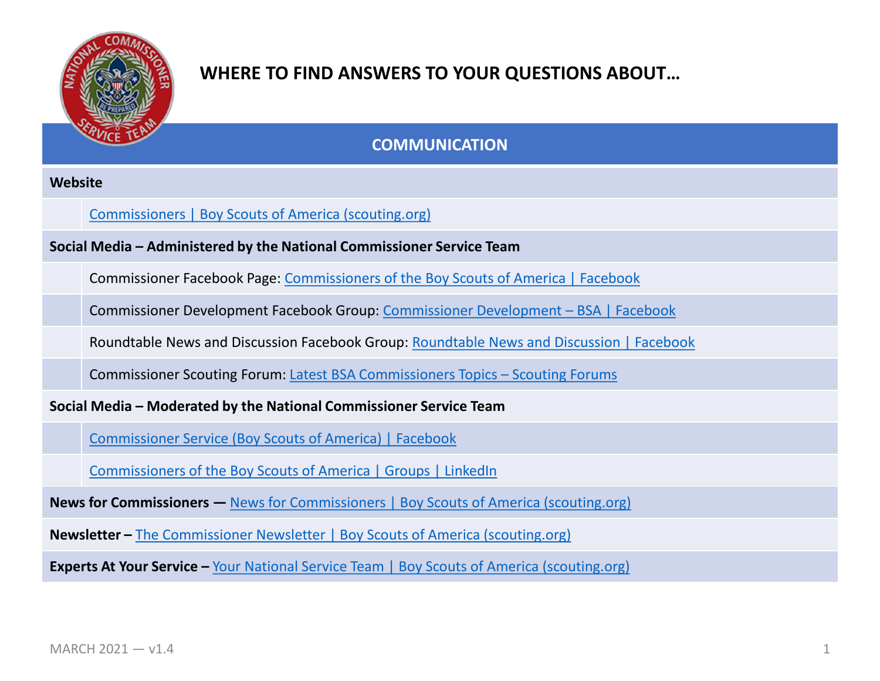

**COMMUNICATION**

#### **Website**

#### [Commissioners | Boy Scouts of America \(scouting.org\)](https://www.scouting.org/commissioners/)

**Social Media – Administered by the National Commissioner Service Team**

Commissioner Facebook Page: [Commissioners of the Boy Scouts of America | Facebook](https://www.facebook.com/CommissionersOfTheBoyScoutsOfAmerica)

Commissioner Development Facebook Group: [Commissioner Development –](https://www.facebook.com/groups/1976324522626471) BSA | Facebook

Roundtable News and Discussion Facebook Group: [Roundtable News and Discussion | Facebook](https://www.facebook.com/groups/998658400617717)

Commissioner Scouting Forum: [Latest BSA Commissioners Topics –](https://discussions.scouting.org/c/bsa-commissioners/3196) Scouting Forums

**Social Media – Moderated by the National Commissioner Service Team**

[Commissioner Service \(Boy Scouts of America\) | Facebook](https://www.facebook.com/groups/bsa.commissioners)

[Commissioners of the Boy Scouts of America | Groups | LinkedIn](https://www.linkedin.com/groups/92833/)

**News for Commissioners —** [News for Commissioners | Boy Scouts of America \(scouting.org\)](https://www.scouting.org/commissioners/news-for-commissioners/)

**Newsletter –** [The Commissioner Newsletter | Boy Scouts of America \(scouting.org\)](https://www.scouting.org/commissioners/newsletter/)

**Experts At Your Service –** [Your National Service Team | Boy Scouts of America \(scouting.org\)](https://www.scouting.org/commissioners/your-national-service-team/)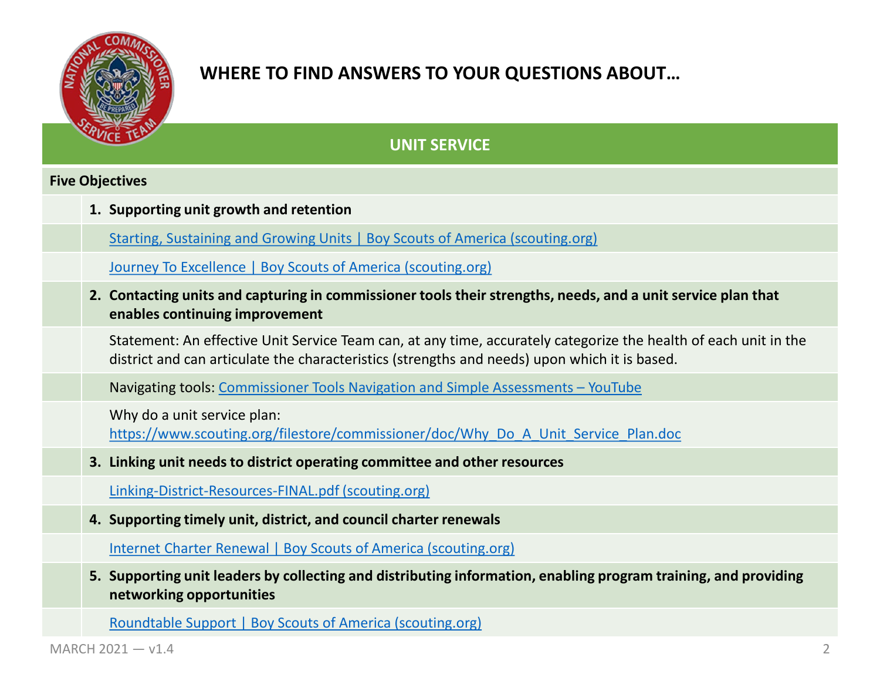

### **UNIT SERVICE**

#### **Five Objectives**

**1. Supporting unit growth and retention**

[Starting, Sustaining and Growing Units | Boy Scouts of America \(scouting.org\)](https://www.scouting.org/commissioners/starting-sustaining-and-growing-units/)

[Journey To Excellence | Boy Scouts of America \(scouting.org\)](https://www.scouting.org/awards/journey-to-excellence/)

**2. Contacting units and capturing in commissioner tools their strengths, needs, and a unit service plan that enables continuing improvement**

Statement: An effective Unit Service Team can, at any time, accurately categorize the health of each unit in the district and can articulate the characteristics (strengths and needs) upon which it is based.

Navigating tools: [Commissioner Tools Navigation and Simple Assessments –](https://www.youtube.com/watch?v=FpuaGvwHcMI&feature=youtu.be) YouTube

Why do a unit service plan:

[https://www.scouting.org/filestore/commissioner/doc/Why\\_Do\\_A\\_Unit\\_Service\\_Plan.doc](https://www.scouting.org/filestore/commissioner/doc/Why_Do_A_Unit_Service_Plan.doc)

**3. Linking unit needs to district operating committee and other resources**

[Linking-District-Resources-FINAL.pdf \(scouting.org\)](https://www.scouting.org/wp-content/uploads/2018/07/Linking-District-Resources-FINAL.pdf)

**4. Supporting timely unit, district, and council charter renewals**

[Internet Charter Renewal | Boy Scouts of America \(scouting.org\)](https://www.scouting.org/commissioners/internet-rechartering/)

**5. Supporting unit leaders by collecting and distributing information, enabling program training, and providing networking opportunities**

[Roundtable Support | Boy Scouts of America \(scouting.org\)](https://www.scouting.org/commissioners/roundtable-support/)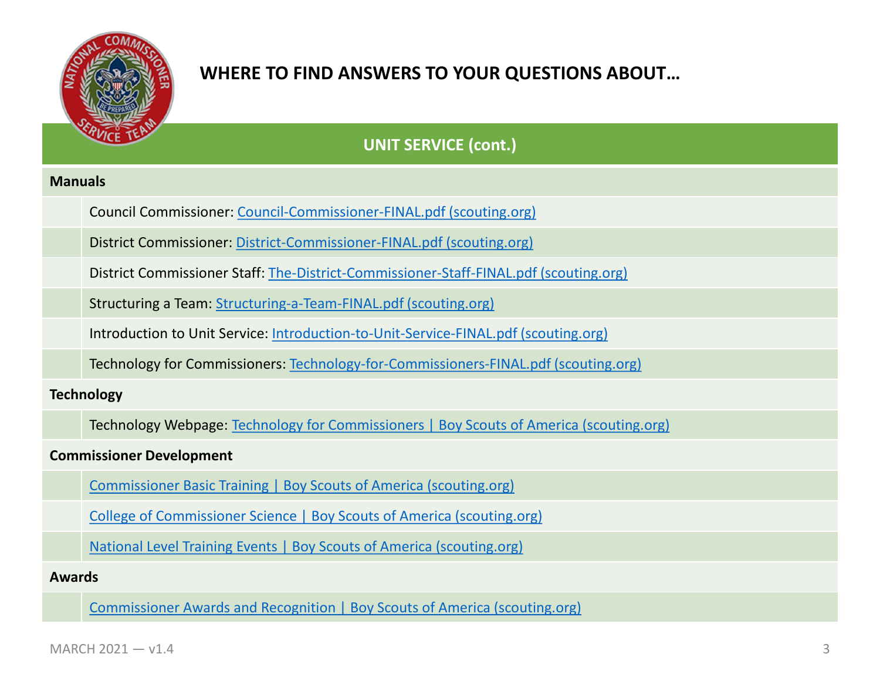

**UNIT SERVICE (cont.)**

#### **Manuals**

Council Commissioner: [Council-Commissioner-FINAL.pdf \(scouting.org\)](https://www.scouting.org/wp-content/uploads/2018/07/Council-Commissioner-FINAL.pdf)

District Commissioner: [District-Commissioner-FINAL.pdf \(scouting.org\)](https://www.scouting.org/wp-content/uploads/2018/07/District-Commissioner-FINAL.pdf)

District Commissioner Staff: [The-District-Commissioner-Staff-FINAL.pdf \(scouting.org\)](https://www.scouting.org/wp-content/uploads/2018/07/The-District-Commissioner-Staff-FINAL.pdf)

Structuring a Team: [Structuring-a-Team-FINAL.pdf \(scouting.org\)](https://www.scouting.org/wp-content/uploads/2018/07/Structuring-a-Team-FINAL.pdf)

Introduction to Unit Service: [Introduction-to-Unit-Service-FINAL.pdf \(scouting.org\)](https://www.scouting.org/wp-content/uploads/2018/07/Introduction-to-Unit-Service-FINAL.pdf)

Technology for Commissioners: [Technology-for-Commissioners-FINAL.pdf \(scouting.org\)](https://www.scouting.org/wp-content/uploads/2018/07/Technology-for-Commissioners-FINAL.pdf)

**Technology**

Technology Webpage: [Technology for Commissioners | Boy Scouts of America \(scouting.org\)](https://www.scouting.org/commissioners/tools/)

**Commissioner Development**

[Commissioner Basic Training | Boy Scouts of America \(scouting.org\)](https://www.scouting.org/commissioners/training/commissioner-basic-training/)

[College of Commissioner Science | Boy Scouts of America \(scouting.org\)](https://www.scouting.org/commissioners/training/college-of-commissioner-science/)

[National Level Training Events | Boy Scouts of America \(scouting.org\)](https://www.scouting.org/commissioners/training/national/)

**Awards**

[Commissioner Awards and Recognition | Boy Scouts of America \(scouting.org\)](https://www.scouting.org/commissioners/recognition/)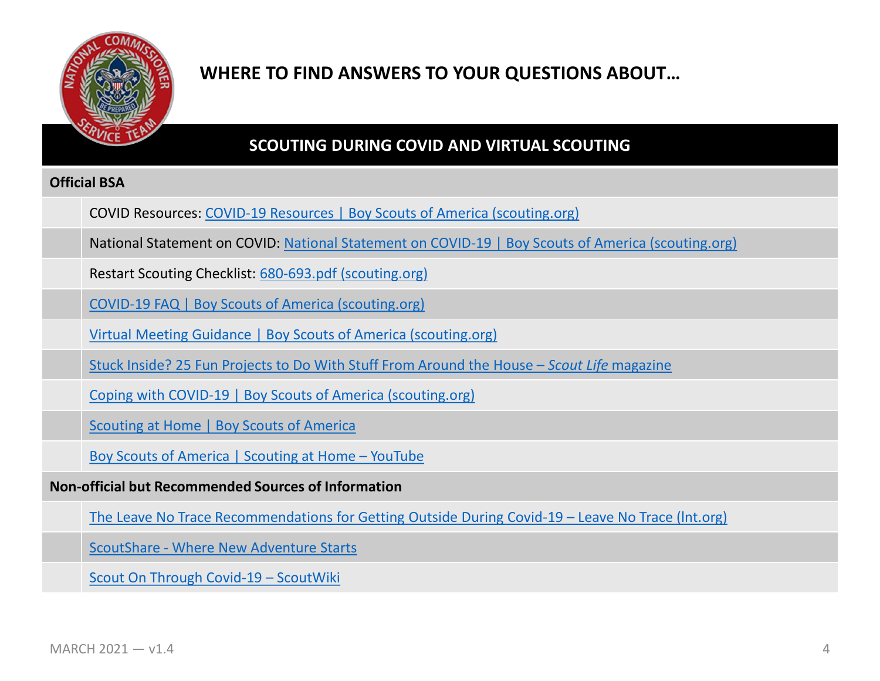

### **SCOUTING DURING COVID AND VIRTUAL SCOUTING**

### **Official BSA**

COVID Resources: [COVID-19 Resources | Boy Scouts of America \(scouting.org\)](https://www.scouting.org/commissioners/covid-19-resources/)

National Statement on COVID: [National Statement on COVID-19 | Boy Scouts of America \(scouting.org\)](https://www.scouting.org/coronavirus/)

Restart Scouting Checklist: [680-693.pdf \(scouting.org\)](https://filestore.scouting.org/filestore/HealthSafety/pdf/680-693.pdf)

[COVID-19 FAQ | Boy Scouts of America \(scouting.org\)](https://www.scouting.org/coronavirus/covid-19-faq/)

[Virtual Meeting Guidance | Boy Scouts of America \(scouting.org\)](https://www.scouting.org/commissioners/roundtable-support/virtual-meeting-guidance/)

[Stuck Inside? 25 Fun Projects to Do With Stuff From Around the House –](https://scoutlife.org/hobbies-projects/funstuff/167895/indoor-activities/) *Scout Life* magazine

[Coping with COVID-19 | Boy Scouts of America \(scouting.org\)](https://www.scouting.org/coping-with-covid-19/)

[Scouting at Home | Boy Scouts of America](https://www.scouting.org/scoutingathome/)

[Boy Scouts of America | Scouting at Home –](https://www.youtube.com/watch?v=chnOUp2QzLY&feature=youtu.be) YouTube

**Non-official but Recommended Sources of Information**

[The Leave No Trace Recommendations for Getting Outside During Covid-19 –](https://lnt.org/the-leave-no-trace-recommendations-for-getting-outside-amidst-covid-19/) Leave No Trace (lnt.org)

ScoutShare - [Where New Adventure Starts](http://scoutshare.org/)

[Scout On Through Covid-19 –](https://en.scoutwiki.org/Scout_On_Through_Covid-19) ScoutWiki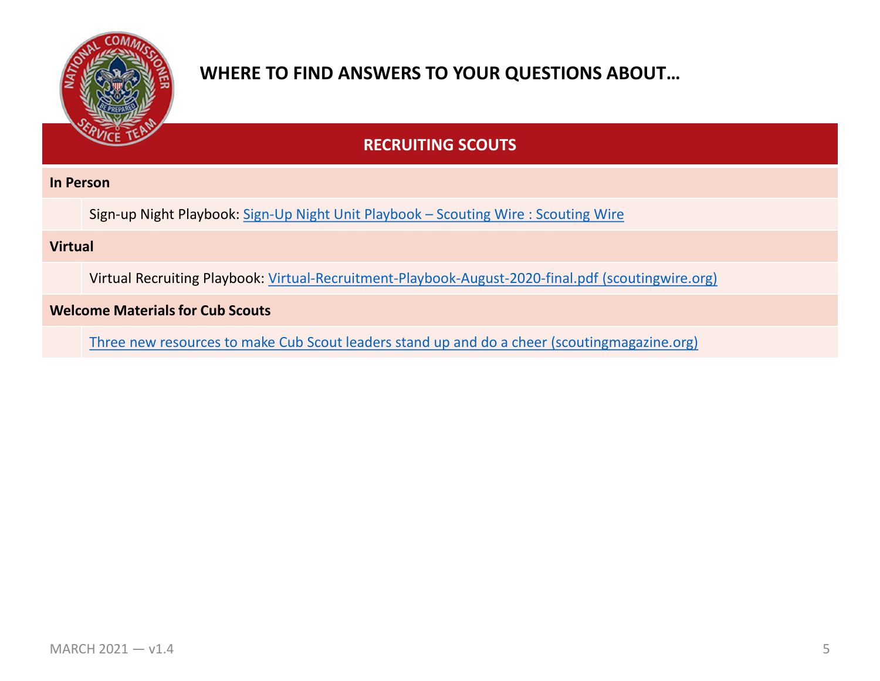

### **RECRUITING SCOUTS**

#### **In Person**

Sign-up Night Playbook: [Sign-Up Night Unit Playbook –](https://scoutingwire.org/marketing-and-membership-hub/unit-recruiting/sign-up-night-unit-playbook/) Scouting Wire : Scouting Wire

### **Virtual**

Virtual Recruiting Playbook: [Virtual-Recruitment-Playbook-August-2020-final.pdf \(scoutingwire.org\)](https://scoutingwire.org/wp-content/uploads/2020/08/Virtual-Recruitment-Playbook-August-2020-final.pdf)

#### **Welcome Materials for Cub Scouts**

[Three new resources to make Cub Scout leaders stand up and do a cheer \(scoutingmagazine.org\)](https://blog.scoutingmagazine.org/2019/09/23/three-new-resources-to-make-cub-scout-leaders-stand-up-and-do-a-cheer/)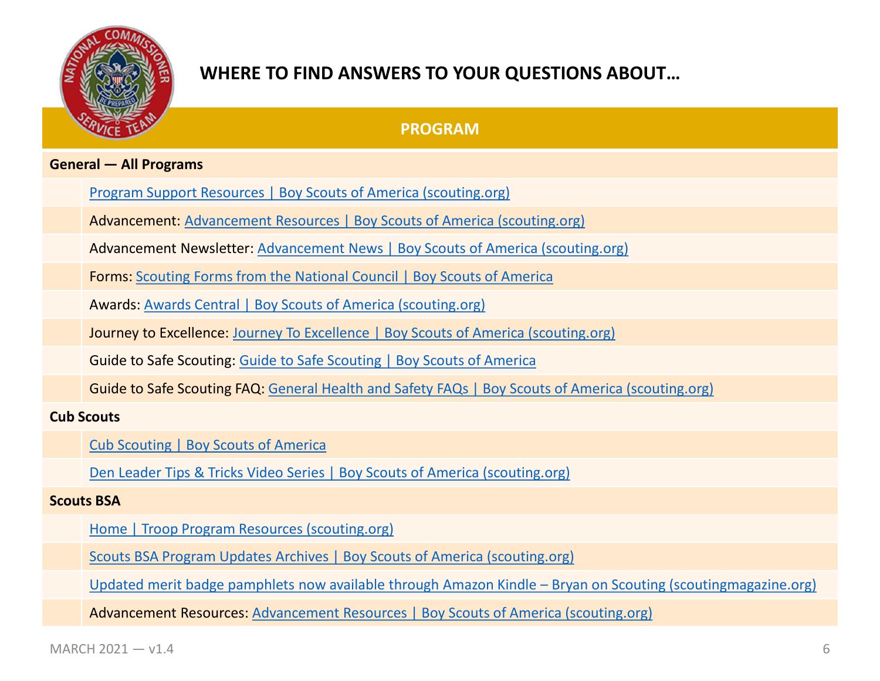

### **PROGRAM**

#### **General — All Programs**

[Program Support Resources | Boy Scouts of America \(scouting.org\)](https://www.scouting.org/commissioners/program-support-resources/)

Advancement: [Advancement Resources | Boy Scouts of America \(scouting.org\)](https://www.scouting.org/programs/scouts-bsa/advancement-and-awards/resources/)

Advancement Newsletter: [Advancement News | Boy Scouts of America \(scouting.org\)](https://www.scouting.org/programs/scouts-bsa/advancement-and-awards/advancement-news/)

Forms: [Scouting Forms from the National Council | Boy Scouts of America](https://www.scouting.org/resources/forms/)

Awards: [Awards Central | Boy Scouts of America \(scouting.org\)](https://www.scouting.org/awards/awards-central/)

Journey to Excellence: [Journey To Excellence | Boy Scouts of America \(scouting.org\)](https://www.scouting.org/awards/journey-to-excellence/)

Guide to Safe Scouting: [Guide to Safe Scouting | Boy Scouts of America](https://www.scouting.org/health-and-safety/gss/)

Guide to Safe Scouting FAQ: [General Health and Safety FAQs | Boy Scouts of America \(scouting.org\)](https://www.scouting.org/health-and-safety/gen-faq/)

#### **Cub Scouts**

[Cub Scouting | Boy Scouts of America](https://www.scouting.org/programs/cub-scouts/)

[Den Leader Tips & Tricks Video Series | Boy Scouts of America \(scouting.org\)](https://www.scouting.org/programs/cub-scouts/den-meeting-resources/den-leader-tips-tricks-video-series/)

#### **Scouts BSA**

[Home | Troop Program Resources \(scouting.org\)](https://troopresources.scouting.org/)

[Scouts BSA Program Updates Archives | Boy Scouts of America \(scouting.org\)](https://www.scouting.org/topics/program-updates/program-updates-scouts-bsa/)

[Updated merit badge pamphlets now available through Amazon Kindle –](https://blog.scoutingmagazine.org/2020/04/23/updated-merit-badge-pamphlets-now-available-through-amazon-kindle/) Bryan on Scouting (scoutingmagazine.org)

Advancement Resources: [Advancement Resources | Boy Scouts of America \(scouting.org\)](https://www.scouting.org/programs/scouts-bsa/advancement-and-awards/resources/)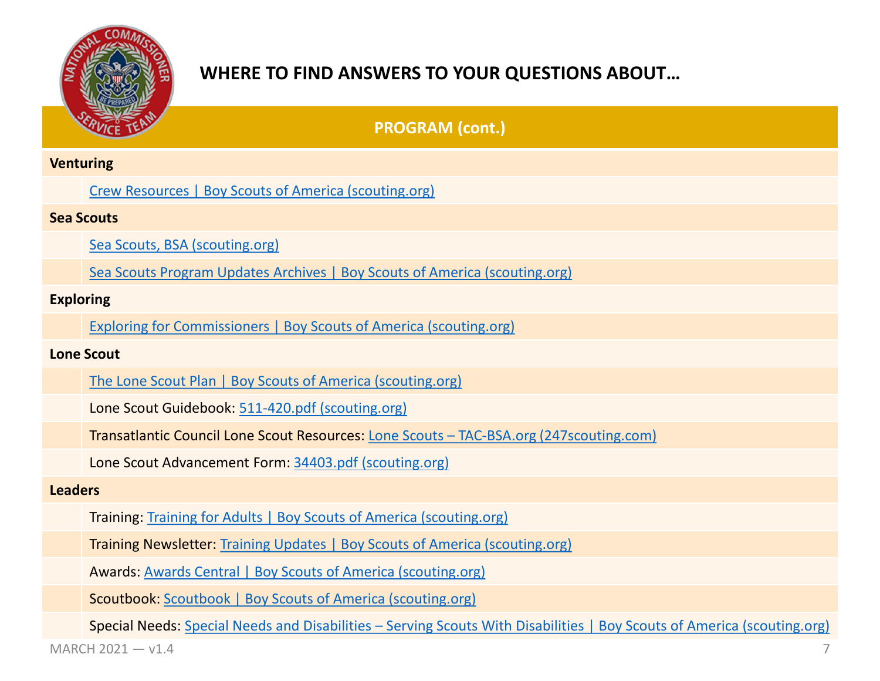

|                   | <b>PROGRAM (cont.)</b>                                                                                                  |
|-------------------|-------------------------------------------------------------------------------------------------------------------------|
| <b>Venturing</b>  |                                                                                                                         |
|                   | <b>Crew Resources   Boy Scouts of America (scouting.org)</b>                                                            |
| <b>Sea Scouts</b> |                                                                                                                         |
|                   | Sea Scouts, BSA (scouting.org)                                                                                          |
|                   | Sea Scouts Program Updates Archives   Boy Scouts of America (scouting.org)                                              |
| <b>Exploring</b>  |                                                                                                                         |
|                   | <b>Exploring for Commissioners   Boy Scouts of America (scouting.org)</b>                                               |
| <b>Lone Scout</b> |                                                                                                                         |
|                   | The Lone Scout Plan   Boy Scouts of America (scouting.org)                                                              |
|                   | Lone Scout Guidebook: 511-420.pdf (scouting.org)                                                                        |
|                   | Transatlantic Council Lone Scout Resources: Lone Scouts - TAC-BSA.org (247scouting.com)                                 |
|                   | Lone Scout Advancement Form: 34403.pdf (scouting.org)                                                                   |
| <b>Leaders</b>    |                                                                                                                         |
|                   | Training: Training for Adults   Boy Scouts of America (scouting.org)                                                    |
|                   | Training Newsletter: Training Updates   Boy Scouts of America (scouting.org)                                            |
|                   | <b>Awards: Awards Central   Boy Scouts of America (scouting.org)</b>                                                    |
|                   | <b>Scoutbook: Scoutbook   Boy Scouts of America (scouting.org)</b>                                                      |
|                   | Special Needs: Special Needs and Disabilities - Serving Scouts With Disabilities   Boy Scouts of America (scouting.org) |